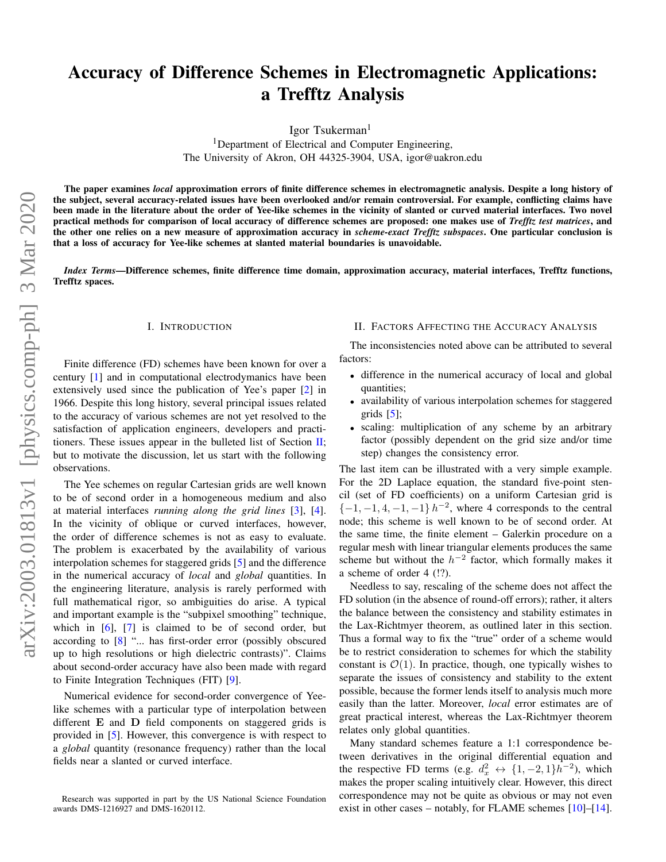# Accuracy of Difference Schemes in Electromagnetic Applications: a Trefftz Analysis

Igor Tsukerman<sup>1</sup>

<sup>1</sup>Department of Electrical and Computer Engineering, The University of Akron, OH 44325-3904, USA, igor@uakron.edu

The paper examines *local* approximation errors of finite difference schemes in electromagnetic analysis. Despite a long history of the subject, several accuracy-related issues have been overlooked and/or remain controversial. For example, conflicting claims have been made in the literature about the order of Yee-like schemes in the vicinity of slanted or curved material interfaces. Two novel practical methods for comparison of local accuracy of difference schemes are proposed: one makes use of *Trefftz test matrices*, and the other one relies on a new measure of approximation accuracy in *scheme-exact Trefftz subspaces*. One particular conclusion is that a loss of accuracy for Yee-like schemes at slanted material boundaries is unavoidable.

*Index Terms*—Difference schemes, finite difference time domain, approximation accuracy, material interfaces, Trefftz functions, Trefftz spaces.

## I. INTRODUCTION

Finite difference (FD) schemes have been known for over a century [\[1\]](#page-6-0) and in computational electrodymanics have been extensively used since the publication of Yee's paper [\[2\]](#page-6-1) in 1966. Despite this long history, several principal issues related to the accuracy of various schemes are not yet resolved to the satisfaction of application engineers, developers and practitioners. These issues appear in the bulleted list of Section  $\mathbf{II}$ ; but to motivate the discussion, let us start with the following observations.

The Yee schemes on regular Cartesian grids are well known to be of second order in a homogeneous medium and also at material interfaces *running along the grid lines* [\[3\]](#page-6-2), [\[4\]](#page-6-3). In the vicinity of oblique or curved interfaces, however, the order of difference schemes is not as easy to evaluate. The problem is exacerbated by the availability of various interpolation schemes for staggered grids [\[5\]](#page-6-4) and the difference in the numerical accuracy of *local* and *global* quantities. In the engineering literature, analysis is rarely performed with full mathematical rigor, so ambiguities do arise. A typical and important example is the "subpixel smoothing" technique, which in  $[6]$ ,  $[7]$  is claimed to be of second order, but according to [\[8\]](#page-6-7) "... has first-order error (possibly obscured up to high resolutions or high dielectric contrasts)". Claims about second-order accuracy have also been made with regard to Finite Integration Techniques (FIT) [\[9\]](#page-6-8).

Numerical evidence for second-order convergence of Yeelike schemes with a particular type of interpolation between different E and D field components on staggered grids is provided in [\[5\]](#page-6-4). However, this convergence is with respect to a *global* quantity (resonance frequency) rather than the local fields near a slanted or curved interface.

## <span id="page-0-0"></span>II. FACTORS AFFECTING THE ACCURACY ANALYSIS

The inconsistencies noted above can be attributed to several factors:

- difference in the numerical accuracy of local and global quantities;
- availability of various interpolation schemes for staggered grids  $[5]$ ;
- scaling: multiplication of any scheme by an arbitrary factor (possibly dependent on the grid size and/or time step) changes the consistency error.

The last item can be illustrated with a very simple example. For the 2D Laplace equation, the standard five-point stencil (set of FD coefficients) on a uniform Cartesian grid is  $\{-1, -1, 4, -1, -1\}$   $h^{-2}$ , where 4 corresponds to the central node; this scheme is well known to be of second order. At the same time, the finite element – Galerkin procedure on a regular mesh with linear triangular elements produces the same scheme but without the  $h^{-2}$  factor, which formally makes it a scheme of order 4 (!?).

Needless to say, rescaling of the scheme does not affect the FD solution (in the absence of round-off errors); rather, it alters the balance between the consistency and stability estimates in the Lax-Richtmyer theorem, as outlined later in this section. Thus a formal way to fix the "true" order of a scheme would be to restrict consideration to schemes for which the stability constant is  $\mathcal{O}(1)$ . In practice, though, one typically wishes to separate the issues of consistency and stability to the extent possible, because the former lends itself to analysis much more easily than the latter. Moreover, *local* error estimates are of great practical interest, whereas the Lax-Richtmyer theorem relates only global quantities.

Many standard schemes feature a 1:1 correspondence between derivatives in the original differential equation and the respective FD terms (e.g.  $d_x^2 \leftrightarrow \{1, -2, 1\}h^{-2}$ ), which makes the proper scaling intuitively clear. However, this direct correspondence may not be quite as obvious or may not even exist in other cases – notably, for FLAME schemes [\[10\]](#page-6-9)–[\[14\]](#page-6-10).

Research was supported in part by the US National Science Foundation awards DMS-1216927 and DMS-1620112.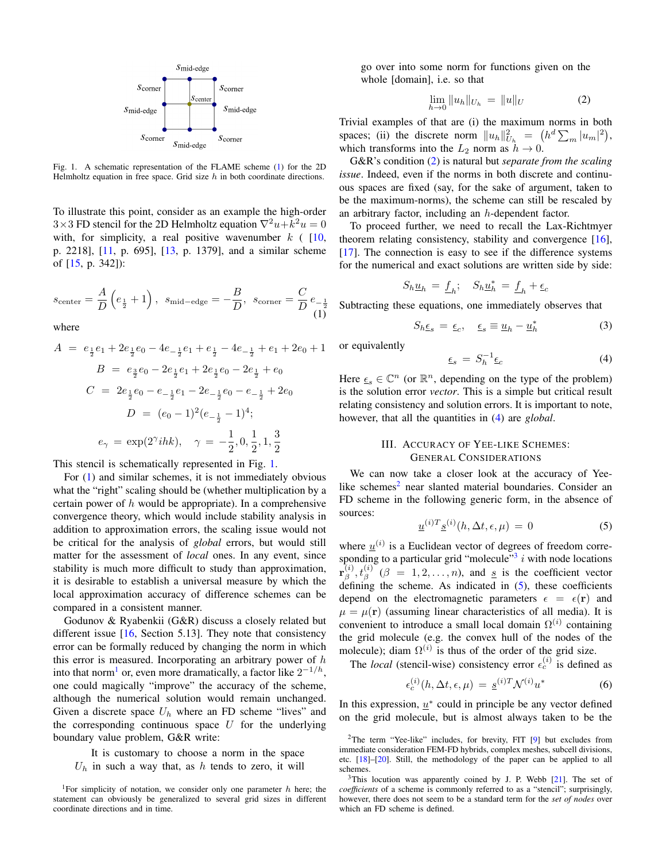

<span id="page-1-1"></span>Fig. 1. A schematic representation of the FLAME scheme [\(1\)](#page-1-0) for the 2D Helmholtz equation in free space. Grid size  $h$  in both coordinate directions.

To illustrate this point, consider as an example the high-order  $3\times 3$  FD stencil for the 2D Helmholtz equation  $\nabla^2 u + k^2 u = 0$ with, for simplicity, a real positive wavenumber  $k$  ( [\[10,](#page-6-9) p. 2218], [\[11,](#page-6-11) p. 695], [\[13,](#page-6-12) p. 1379], and a similar scheme of [\[15,](#page-6-13) p. 342]):

<span id="page-1-0"></span>
$$
s_{\text{center}} = \frac{A}{D} \left( e_{\frac{1}{2}} + 1 \right), \ \ s_{\text{mid-edge}} = -\frac{B}{D}, \ \ s_{\text{corner}} = \frac{C}{D} \, e_{-\frac{1}{2}} \tag{1}
$$

where

$$
A = e_{\frac{1}{2}}e_1 + 2e_{\frac{1}{2}}e_0 - 4e_{-\frac{1}{2}}e_1 + e_{\frac{1}{2}} - 4e_{-\frac{1}{2}} + e_1 + 2e_0 + 1
$$
  
\n
$$
B = e_{\frac{3}{2}}e_0 - 2e_{\frac{1}{2}}e_1 + 2e_{\frac{1}{2}}e_0 - 2e_{\frac{1}{2}} + e_0
$$
  
\n
$$
C = 2e_{\frac{1}{2}}e_0 - e_{-\frac{1}{2}}e_1 - 2e_{-\frac{1}{2}}e_0 - e_{-\frac{1}{2}} + 2e_0
$$
  
\n
$$
D = (e_0 - 1)^2(e_{-\frac{1}{2}} - 1)^4;
$$
  
\n
$$
e_{\gamma} = \exp(2^{\gamma}ihk), \quad \gamma = -\frac{1}{2}, 0, \frac{1}{2}, 1, \frac{3}{2}
$$

This stencil is schematically represented in Fig. [1.](#page-1-1)

For [\(1\)](#page-1-0) and similar schemes, it is not immediately obvious what the "right" scaling should be (whether multiplication by a certain power of  $h$  would be appropriate). In a comprehensive convergence theory, which would include stability analysis in addition to approximation errors, the scaling issue would not be critical for the analysis of *global* errors, but would still matter for the assessment of *local* ones. In any event, since stability is much more difficult to study than approximation, it is desirable to establish a universal measure by which the local approximation accuracy of difference schemes can be compared in a consistent manner.

Godunov & Ryabenkii (G&R) discuss a closely related but different issue  $[16, Section 5.13]$  $[16, Section 5.13]$ . They note that consistency error can be formally reduced by changing the norm in which this error is measured. Incorporating an arbitrary power of  $h$ into that norm<sup>[1](#page-1-2)</sup> or, even more dramatically, a factor like  $2^{-1/h}$ , one could magically "improve" the accuracy of the scheme, although the numerical solution would remain unchanged. Given a discrete space  $U_h$  where an FD scheme "lives" and the corresponding continuous space  $U$  for the underlying boundary value problem, G&R write:

It is customary to choose a norm in the space  $U_h$  in such a way that, as h tends to zero, it will

go over into some norm for functions given on the whole [domain], i.e. so that

<span id="page-1-3"></span>
$$
\lim_{h \to 0} \|u_h\|_{U_h} = \|u\|_U \tag{2}
$$

Trivial examples of that are (i) the maximum norms in both spaces; (ii) the discrete norm  $||u_h||_{U_h}^2 = (h^d \sum_m |u_m|^2),$ which transforms into the  $L_2$  norm as  $h \to 0$ .

G&R's condition [\(2\)](#page-1-3) is natural but *separate from the scaling issue*. Indeed, even if the norms in both discrete and continuous spaces are fixed (say, for the sake of argument, taken to be the maximum-norms), the scheme can still be rescaled by an arbitrary factor, including an h-dependent factor.

To proceed further, we need to recall the Lax-Richtmyer theorem relating consistency, stability and convergence [\[16\]](#page-6-14), [\[17\]](#page-6-15). The connection is easy to see if the difference systems for the numerical and exact solutions are written side by side:

$$
S_h \underline{u}_h \, = \, \underline{f}_h; \quad S_h \underline{u}_h^* \, = \, \underline{f}_h + \underline{\epsilon}_c
$$

Subtracting these equations, one immediately observes that

<span id="page-1-9"></span>
$$
S_h \underline{\epsilon}_s = \underline{\epsilon}_c, \quad \underline{\epsilon}_s \equiv \underline{u}_h - \underline{u}_h^* \tag{3}
$$

or equivalently

<span id="page-1-4"></span>
$$
\underline{\epsilon}_s = S_h^{-1} \underline{\epsilon}_c \tag{4}
$$

Here  $\underline{\epsilon}_s \in \mathbb{C}^n$  (or  $\mathbb{R}^n$ , depending on the type of the problem) is the solution error *vector*. This is a simple but critical result relating consistency and solution errors. It is important to note, however, that all the quantities in [\(4\)](#page-1-4) are *global*.

# III. ACCURACY OF YEE-LIKE SCHEMES: GENERAL CONSIDERATIONS

We can now take a closer look at the accuracy of Yee-like schemes<sup>[2](#page-1-5)</sup> near slanted material boundaries. Consider an FD scheme in the following generic form, in the absence of sources:

<span id="page-1-7"></span>
$$
\underline{u}^{(i)T} \underline{s}^{(i)}(h, \Delta t, \epsilon, \mu) = 0 \tag{5}
$$

where  $\underline{u}^{(i)}$  is a Euclidean vector of degrees of freedom corre-sponding to a particular grid "molecule"<sup>[3](#page-1-6)</sup> i with node locations  $\bar{\mathbf{r}}_{\scriptscriptstyle{\beta}}^{(i)}$  $\delta_{\beta}^{(i)}$ ,  $t_{\beta}^{(i)}$  ( $\beta = 1, 2, ..., n$ ), and <u>s</u> is the coefficient vector defining the scheme. As indicated in  $(5)$ , these coefficients depend on the electromagnetic parameters  $\epsilon = \epsilon(\mathbf{r})$  and  $\mu = \mu(\mathbf{r})$  (assuming linear characteristics of all media). It is convenient to introduce a small local domain  $\Omega^{(i)}$  containing the grid molecule (e.g. the convex hull of the nodes of the molecule); diam  $\Omega^{(i)}$  is thus of the order of the grid size.

The *local* (stencil-wise) consistency error  $\epsilon_c^{(i)}$  is defined as

<span id="page-1-8"></span>
$$
\epsilon_c^{(i)}(h, \Delta t, \epsilon, \mu) = \underline{s}^{(i)T} \mathcal{N}^{(i)} u^*
$$
 (6)

In this expression,  $\underline{u}^*$  could in principle be any vector defined on the grid molecule, but is almost always taken to be the

<span id="page-1-2"></span><sup>&</sup>lt;sup>1</sup>For simplicity of notation, we consider only one parameter  $h$  here; the statement can obviously be generalized to several grid sizes in different coordinate directions and in time.

<span id="page-1-5"></span><sup>&</sup>lt;sup>2</sup>The term "Yee-like" includes, for brevity, FIT [\[9\]](#page-6-8) but excludes from immediate consideration FEM-FD hybrids, complex meshes, subcell divisions, etc. [\[18\]](#page-6-16)–[\[20\]](#page-6-17). Still, the methodology of the paper can be applied to all schemes.

<span id="page-1-6"></span> $3$ This locution was apparently coined by J. P. Webb  $[21]$ . The set of *coefficients* of a scheme is commonly referred to as a "stencil"; surprisingly, however, there does not seem to be a standard term for the *set of nodes* over which an FD scheme is defined.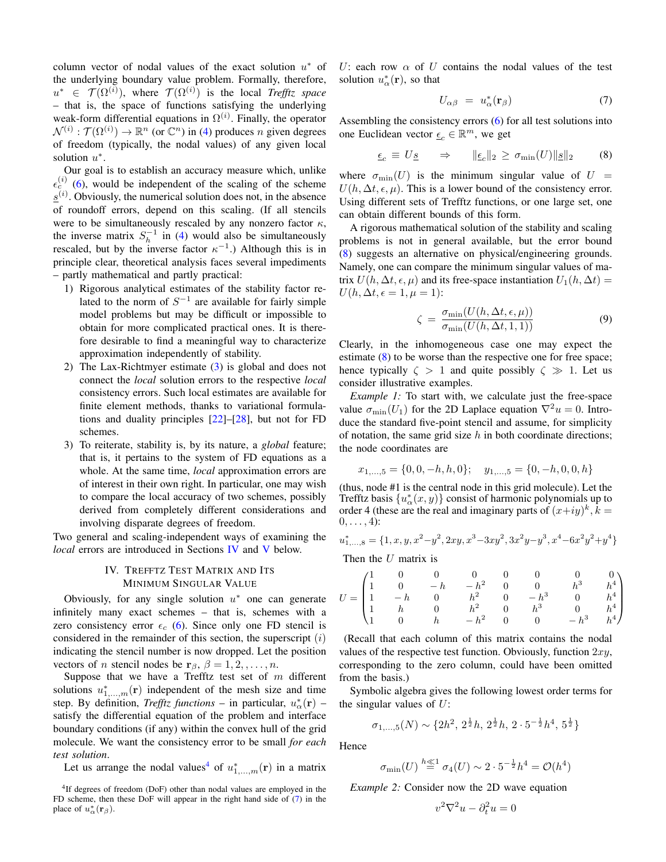column vector of nodal values of the exact solution  $u^*$  of the underlying boundary value problem. Formally, therefore,  $u^*$   $\in \mathcal{T}(\Omega^{(i)})$ , where  $\mathcal{T}(\Omega^{(i)})$  is the local *Trefftz space* – that is, the space of functions satisfying the underlying weak-form differential equations in  $\Omega^{(i)}$ . Finally, the operator  $\mathcal{N}^{(i)} : \mathcal{T}(\Omega^{(i)}) \to \mathbb{R}^n$  (or  $\mathbb{C}^n$ ) in [\(4\)](#page-1-4) produces n given degrees of freedom (typically, the nodal values) of any given local solution  $u^*$ .

Our goal is to establish an accuracy measure which, unlike  $\epsilon_c^{(i)}$  [\(6\)](#page-1-8), would be independent of the scaling of the scheme  $\underline{s}^{(i)}$ . Obviously, the numerical solution does not, in the absence of roundoff errors, depend on this scaling. (If all stencils were to be simultaneously rescaled by any nonzero factor  $\kappa$ , the inverse matrix  $S_h^{-1}$  in [\(4\)](#page-1-4) would also be simultaneously rescaled, but by the inverse factor  $\kappa^{-1}$ .) Although this is in principle clear, theoretical analysis faces several impediments – partly mathematical and partly practical:

- 1) Rigorous analytical estimates of the stability factor related to the norm of  $S^{-1}$  are available for fairly simple model problems but may be difficult or impossible to obtain for more complicated practical ones. It is therefore desirable to find a meaningful way to characterize approximation independently of stability.
- 2) The Lax-Richtmyer estimate [\(3\)](#page-1-9) is global and does not connect the *local* solution errors to the respective *local* consistency errors. Such local estimates are available for finite element methods, thanks to variational formulations and duality principles [\[22\]](#page-6-19)–[\[28\]](#page-6-20), but not for FD schemes.
- 3) To reiterate, stability is, by its nature, a *global* feature; that is, it pertains to the system of FD equations as a whole. At the same time, *local* approximation errors are of interest in their own right. In particular, one may wish to compare the local accuracy of two schemes, possibly derived from completely different considerations and involving disparate degrees of freedom.

<span id="page-2-0"></span>Two general and scaling-independent ways of examining the *local* errors are introduced in Sections [IV](#page-2-0) and [V](#page-4-0) below.

# IV. TREFFTZ TEST MATRIX AND ITS MINIMUM SINGULAR VALUE

Obviously, for any single solution  $u^*$  one can generate infinitely many exact schemes – that is, schemes with a zero consistency error  $\epsilon_c$  [\(6\)](#page-1-8). Since only one FD stencil is considered in the remainder of this section, the superscript  $(i)$ indicating the stencil number is now dropped. Let the position vectors of *n* stencil nodes be  $\mathbf{r}_{\beta}$ ,  $\beta = 1, 2, ..., n$ .

Suppose that we have a Trefftz test set of  $m$  different solutions  $u_{1,\dots,m}^*(\mathbf{r})$  independent of the mesh size and time step. By definition, *Trefftz functions* – in particular,  $u^*_{\alpha}(\mathbf{r})$  – satisfy the differential equation of the problem and interface boundary conditions (if any) within the convex hull of the grid molecule. We want the consistency error to be small *for each test solution*.

Let us arrange the nodal values<sup>[4](#page-2-1)</sup> of  $u^*_{1,\dots,m}(\mathbf{r})$  in a matrix

U: each row  $\alpha$  of U contains the nodal values of the test solution  $u^*_{\alpha}(\mathbf{r})$ , so that

<span id="page-2-2"></span>
$$
U_{\alpha\beta} = u_{\alpha}^*(\mathbf{r}_{\beta}) \tag{7}
$$

Assembling the consistency errors [\(6\)](#page-1-8) for all test solutions into one Euclidean vector  $\underline{\epsilon}_c \in \mathbb{R}^m$ , we get

<span id="page-2-3"></span>
$$
\underline{\epsilon}_c \equiv U \underline{s} \qquad \Rightarrow \qquad \|\underline{\epsilon}_c\|_2 \ge \sigma_{\min}(U) \|\underline{s}\|_2 \tag{8}
$$

where  $\sigma_{\min}(U)$  is the minimum singular value of  $U =$  $U(h, \Delta t, \epsilon, \mu)$ . This is a lower bound of the consistency error. Using different sets of Trefftz functions, or one large set, one can obtain different bounds of this form.

A rigorous mathematical solution of the stability and scaling problems is not in general available, but the error bound [\(8\)](#page-2-3) suggests an alternative on physical/engineering grounds. Namely, one can compare the minimum singular values of matrix  $U(h, \Delta t, \epsilon, \mu)$  and its free-space instantiation  $U_1(h, \Delta t) =$  $U(h, \Delta t, \epsilon = 1, \mu = 1)$ :

<span id="page-2-4"></span>
$$
\zeta = \frac{\sigma_{\min}(U(h, \Delta t, \epsilon, \mu))}{\sigma_{\min}(U(h, \Delta t, 1, 1))}
$$
(9)

Clearly, in the inhomogeneous case one may expect the estimate  $(8)$  to be worse than the respective one for free space; hence typically  $\zeta > 1$  and quite possibly  $\zeta \gg 1$ . Let us consider illustrative examples.

*Example 1:* To start with, we calculate just the free-space value  $\sigma_{\min}(U_1)$  for the 2D Laplace equation  $\nabla^2 u = 0$ . Introduce the standard five-point stencil and assume, for simplicity of notation, the same grid size  $h$  in both coordinate directions; the node coordinates are

$$
x_{1,\dots,5} = \{0, 0, -h, h, 0\}; \quad y_{1,\dots,5} = \{0, -h, 0, 0, h\}
$$

(thus, node #1 is the central node in this grid molecule). Let the Trefftz basis  $\{u_{\alpha}^*(x, y)\}$  consist of harmonic polynomials up to order 4 (these are the real and imaginary parts of  $(x+iy)^k$ ,  $\overline{k} =$  $0, \ldots, 4$ :

$$
u_{1,\ldots,8}^{*} = \{1, x, y, x^{2} - y^{2}, 2xy, x^{3} - 3xy^{2}, 3x^{2}y - y^{3}, x^{4} - 6x^{2}y^{2} + y^{4}\}
$$

Then the  $U$  matrix is

$$
U = \begin{pmatrix} 1 & 0 & 0 & 0 & 0 & 0 & 0 & 0 \\ 1 & 0 & -h & -h^2 & 0 & 0 & h^3 & h^4 \\ 1 & -h & 0 & h^2 & 0 & -h^3 & 0 & h^4 \\ 1 & h & 0 & h^2 & 0 & h^3 & 0 & h^4 \\ 1 & 0 & h & -h^2 & 0 & 0 & -h^3 & h^4 \end{pmatrix}
$$

(Recall that each column of this matrix contains the nodal values of the respective test function. Obviously, function  $2xy$ , corresponding to the zero column, could have been omitted from the basis.)

Symbolic algebra gives the following lowest order terms for the singular values of  $U$ :

$$
\sigma_{1,...,5}(N) \sim \{2h^2, 2^{\frac{1}{2}}h, 2^{\frac{1}{2}}h, 2 \cdot 5^{-\frac{1}{2}}h^4, 5^{\frac{1}{2}}\}
$$

Hence

$$
\sigma_{\min}(U) \stackrel{h \ll 1}{=} \sigma_4(U) \sim 2 \cdot 5^{-\frac{1}{2}} h^4 = \mathcal{O}(h^4)
$$

*Example 2:* Consider now the 2D wave equation

$$
v^2 \nabla^2 u - \partial_t^2 u = 0
$$

<span id="page-2-1"></span><sup>4</sup> If degrees of freedom (DoF) other than nodal values are employed in the FD scheme, then these DoF will appear in the right hand side of [\(7\)](#page-2-2) in the place of  $u_{\alpha}^{*}(\mathbf{r}_{\beta})$ .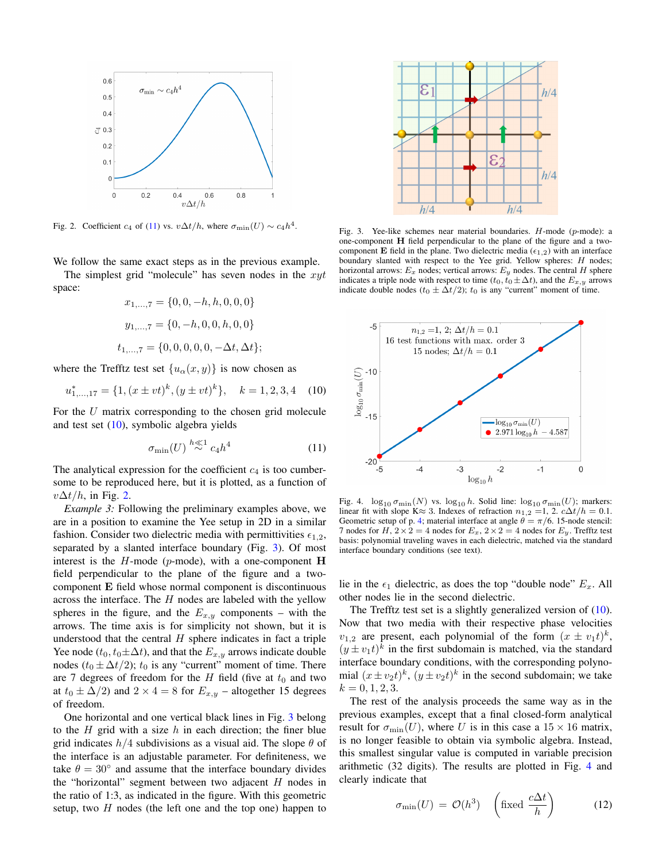

<span id="page-3-2"></span>Fig. 2. Coefficient  $c_4$  of [\(11\)](#page-3-0) vs.  $v\Delta t/h$ , where  $\sigma_{\min}(U) \sim c_4 h^4$ .

We follow the same exact steps as in the previous example.

The simplest grid "molecule" has seven nodes in the  $xyt$ space:

$$
x_{1,\dots,7} = \{0, 0, -h, h, 0, 0, 0\}
$$

$$
y_{1,\dots,7} = \{0, -h, 0, 0, h, 0, 0\}
$$

$$
t_{1,\dots,7} = \{0, 0, 0, 0, 0, -\Delta t, \Delta t\};
$$

where the Trefftz test set  $\{u_{\alpha}(x, y)\}\)$  is now chosen as

<span id="page-3-1"></span>
$$
u_{1,\dots,17}^{*} = \{1, (x \pm vt)^k, (y \pm vt)^k\}, \quad k = 1, 2, 3, 4 \quad (10)
$$

For the  $U$  matrix corresponding to the chosen grid molecule and test set  $(10)$ , symbolic algebra yields

<span id="page-3-0"></span>
$$
\sigma_{\min}(U) \stackrel{h \ll 1}{\sim} c_4 h^4 \tag{11}
$$

The analytical expression for the coefficient  $c_4$  is too cumbersome to be reproduced here, but it is plotted, as a function of  $v\Delta t/h$ , in Fig. [2.](#page-3-2)

<span id="page-3-4"></span>*Example 3:* Following the preliminary examples above, we are in a position to examine the Yee setup in 2D in a similar fashion. Consider two dielectric media with permittivities  $\epsilon_{1,2}$ , separated by a slanted interface boundary (Fig. [3\)](#page-3-3). Of most interest is the  $H$ -mode (p-mode), with a one-component  $H$ field perpendicular to the plane of the figure and a twocomponent E field whose normal component is discontinuous across the interface. The  $H$  nodes are labeled with the yellow spheres in the figure, and the  $E_{x,y}$  components – with the arrows. The time axis is for simplicity not shown, but it is understood that the central  $H$  sphere indicates in fact a triple Yee node ( $t_0, t_0 \pm \Delta t$ ), and that the  $E_{x,y}$  arrows indicate double nodes ( $t_0 \pm \Delta t/2$ );  $t_0$  is any "current" moment of time. There are 7 degrees of freedom for the  $H$  field (five at  $t_0$  and two at  $t_0 \pm \Delta/2$ ) and  $2 \times 4 = 8$  for  $E_{x,y}$  – altogether 15 degrees of freedom.

One horizontal and one vertical black lines in Fig. [3](#page-3-3) belong to the  $H$  grid with a size  $h$  in each direction; the finer blue grid indicates  $h/4$  subdivisions as a visual aid. The slope  $\theta$  of the interface is an adjustable parameter. For definiteness, we take  $\theta = 30^{\circ}$  and assume that the interface boundary divides the "horizontal" segment between two adjacent  $H$  nodes in the ratio of 1:3, as indicated in the figure. With this geometric setup, two  $H$  nodes (the left one and the top one) happen to



<span id="page-3-3"></span>Fig. 3. Yee-like schemes near material boundaries. H-mode (p-mode): a one-component H field perpendicular to the plane of the figure and a twocomponent **E** field in the plane. Two dielectric media ( $\epsilon_{1,2}$ ) with an interface boundary slanted with respect to the Yee grid. Yellow spheres: H nodes; horizontal arrows:  $E_x$  nodes; vertical arrows:  $E_y$  nodes. The central H sphere indicates a triple node with respect to time ( $t_0, t_0 \pm \Delta t$ ), and the  $E_{x,y}$  arrows indicate double nodes ( $t_0 \pm \Delta t/2$ );  $t_0$  is any "current" moment of time.



<span id="page-3-5"></span>Fig. 4.  $\log_{10} \sigma_{\text{min}}(N)$  vs.  $\log_{10} h$ . Solid line:  $\log_{10} \sigma_{\text{min}}(U)$ ; markers: linear fit with slope K≈ 3. Indexes of refraction  $n_{1,2} = 1$ , 2.  $c\Delta t/h = 0.1$ . Geometric setup of p. [4;](#page-3-4) material interface at angle  $\theta = \pi/6$ . 15-node stencil: 7 nodes for  $H$ ,  $2 \times 2 = 4$  nodes for  $E_x$ ,  $2 \times 2 = 4$  nodes for  $E_y$ . Trefftz test basis: polynomial traveling waves in each dielectric, matched via the standard interface boundary conditions (see text).

lie in the  $\epsilon_1$  dielectric, as does the top "double node"  $E_x$ . All other nodes lie in the second dielectric.

The Trefftz test set is a slightly generalized version of [\(10\)](#page-3-1). Now that two media with their respective phase velocities  $v_{1,2}$  are present, each polynomial of the form  $(x \pm v_1 t)^k$ ,  $(y \pm v_1 t)^k$  in the first subdomain is matched, via the standard interface boundary conditions, with the corresponding polynomial  $(x \pm v_2 t)^k$ ,  $(y \pm v_2 t)^k$  in the second subdomain; we take  $k = 0, 1, 2, 3.$ 

The rest of the analysis proceeds the same way as in the previous examples, except that a final closed-form analytical result for  $\sigma_{\min}(U)$ , where U is in this case a  $15 \times 16$  matrix, is no longer feasible to obtain via symbolic algebra. Instead, this smallest singular value is computed in variable precision arithmetic (32 digits). The results are plotted in Fig. [4](#page-3-5) and clearly indicate that

$$
\sigma_{\min}(U) = \mathcal{O}(h^3) \quad \left(\text{fixed } \frac{c\Delta t}{h}\right) \tag{12}
$$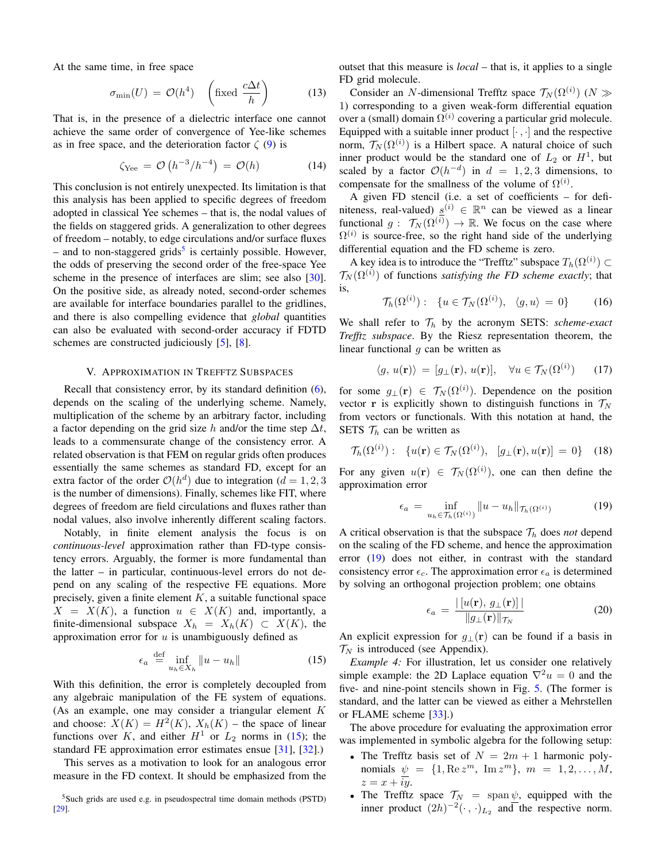At the same time, in free space

$$
\sigma_{\min}(U) = \mathcal{O}(h^4) \quad \left(\text{fixed } \frac{c\Delta t}{h}\right) \tag{13}
$$

That is, in the presence of a dielectric interface one cannot achieve the same order of convergence of Yee-like schemes as in free space, and the deterioration factor  $\zeta(9)$  $\zeta(9)$  is

$$
\zeta_{\text{Yee}} = \mathcal{O}\left(h^{-3}/h^{-4}\right) = \mathcal{O}(h) \tag{14}
$$

This conclusion is not entirely unexpected. Its limitation is that this analysis has been applied to specific degrees of freedom adopted in classical Yee schemes – that is, the nodal values of the fields on staggered grids. A generalization to other degrees of freedom – notably, to edge circulations and/or surface fluxes - and to non-staggered grids<sup>[5](#page-4-1)</sup> is certainly possible. However, the odds of preserving the second order of the free-space Yee scheme in the presence of interfaces are slim; see also [\[30\]](#page-6-21). On the positive side, as already noted, second-order schemes are available for interface boundaries parallel to the gridlines, and there is also compelling evidence that *global* quantities can also be evaluated with second-order accuracy if FDTD schemes are constructed judiciously [\[5\]](#page-6-4), [\[8\]](#page-6-7).

### V. APPROXIMATION IN TREFFTZ SUBSPACES

<span id="page-4-0"></span>Recall that consistency error, by its standard definition [\(6\)](#page-1-8), depends on the scaling of the underlying scheme. Namely, multiplication of the scheme by an arbitrary factor, including a factor depending on the grid size h and/or the time step  $\Delta t$ , leads to a commensurate change of the consistency error. A related observation is that FEM on regular grids often produces essentially the same schemes as standard FD, except for an extra factor of the order  $\mathcal{O}(h^d)$  due to integration ( $d = 1, 2, 3$ ) is the number of dimensions). Finally, schemes like FIT, where degrees of freedom are field circulations and fluxes rather than nodal values, also involve inherently different scaling factors.

Notably, in finite element analysis the focus is on *continuous-level* approximation rather than FD-type consistency errors. Arguably, the former is more fundamental than the latter – in particular, continuous-level errors do not depend on any scaling of the respective FE equations. More precisely, given a finite element  $K$ , a suitable functional space  $X = X(K)$ , a function  $u \in X(K)$  and, importantly, a finite-dimensional subspace  $X_h = X_h(K) \subset X(K)$ , the approximation error for  $u$  is unambiguously defined as

<span id="page-4-2"></span>
$$
\epsilon_a \stackrel{\text{def}}{=} \inf_{u_h \in X_h} ||u - u_h|| \tag{15}
$$

With this definition, the error is completely decoupled from any algebraic manipulation of the FE system of equations. (As an example, one may consider a triangular element K and choose:  $X(K) = H^2(K)$ ,  $X_h(K)$  – the space of linear functions over K, and either  $H^1$  or  $L_2$  norms in [\(15\)](#page-4-2); the standard FE approximation error estimates ensue [\[31\]](#page-6-22), [\[32\]](#page-6-23).)

This serves as a motivation to look for an analogous error measure in the FD context. It should be emphasized from the

outset that this measure is *local* – that is, it applies to a single FD grid molecule.

Consider an N-dimensional Trefftz space  $\mathcal{T}_N(\Omega^{(i)})$  ( $N \gg$ 1) corresponding to a given weak-form differential equation over a (small) domain  $\Omega^{(i)}$  covering a particular grid molecule. Equipped with a suitable inner product  $[\cdot, \cdot]$  and the respective norm,  $\mathcal{T}_N(\Omega^{(i)})$  is a Hilbert space. A natural choice of such inner product would be the standard one of  $L_2$  or  $H<sup>1</sup>$ , but scaled by a factor  $\mathcal{O}(h^{-d})$  in  $d = 1, 2, 3$  dimensions, to compensate for the smallness of the volume of  $\Omega^{(i)}$ .

A given FD stencil (i.e. a set of coefficients – for definiteness, real-valued)  $\underline{s}^{(i)} \in \mathbb{R}^n$  can be viewed as a linear functional  $g: \mathcal{T}_N(\Omega^{(i)}) \to \mathbb{R}$ . We focus on the case where  $\Omega^{(i)}$  is source-free, so the right hand side of the underlying differential equation and the FD scheme is zero.

A key idea is to introduce the "Trefftz" subspace  $T_h(\Omega^{(i)})\subset$  $\mathcal{T}_N(\Omega^{(i)})$  of functions *satisfying the FD scheme exactly*; that is,

$$
\mathcal{T}_h(\Omega^{(i)}): \{u \in \mathcal{T}_N(\Omega^{(i)}), \langle g, u \rangle = 0\}
$$
 (16)

We shall refer to  $\mathcal{T}_h$  by the acronym SETS: *scheme-exact Trefftz subspace*. By the Riesz representation theorem, the linear functional  $g$  can be written as

<span id="page-4-5"></span>
$$
\langle g, u(\mathbf{r}) \rangle = [g_{\perp}(\mathbf{r}), u(\mathbf{r})], \quad \forall u \in \mathcal{T}_N(\Omega^{(i)}) \tag{17}
$$

for some  $g_{\perp}(\mathbf{r}) \in \mathcal{T}_N(\Omega^{(i)})$ . Dependence on the position vector **r** is explicitly shown to distinguish functions in  $\mathcal{T}_N$ from vectors or functionals. With this notation at hand, the SETS  $\mathcal{T}_h$  can be written as

$$
\mathcal{T}_h(\Omega^{(i)}): \ \{u(\mathbf{r}) \in \mathcal{T}_N(\Omega^{(i)}), \ \ [g_\perp(\mathbf{r}), u(\mathbf{r})] = 0\} \tag{18}
$$

For any given  $u(\mathbf{r}) \in \mathcal{T}_N(\Omega^{(i)})$ , one can then define the approximation error

<span id="page-4-3"></span>
$$
\epsilon_a = \inf_{u_h \in \mathcal{T}_h(\Omega^{(i)})} \|u - u_h\|_{\mathcal{T}_h(\Omega^{(i)})}
$$
(19)

A critical observation is that the subspace  $\mathcal{T}_h$  does *not* depend on the scaling of the FD scheme, and hence the approximation error [\(19\)](#page-4-3) does not either, in contrast with the standard consistency error  $\epsilon_c$ . The approximation error  $\epsilon_a$  is determined by solving an orthogonal projection problem; one obtains

<span id="page-4-4"></span>
$$
\epsilon_a = \frac{\left| \left[ u(\mathbf{r}), g_\perp(\mathbf{r}) \right] \right|}{\|g_\perp(\mathbf{r})\|_{\mathcal{T}_N}} \tag{20}
$$

An explicit expression for  $g_{\perp}(\mathbf{r})$  can be found if a basis in  $\mathcal{T}_N$  is introduced (see Appendix).

*Example 4:* For illustration, let us consider one relatively simple example: the 2D Laplace equation  $\nabla^2 u = 0$  and the five- and nine-point stencils shown in Fig. [5.](#page-5-0) (The former is standard, and the latter can be viewed as either a Mehrstellen or FLAME scheme [\[33\]](#page-6-25).)

The above procedure for evaluating the approximation error was implemented in symbolic algebra for the following setup:

- The Trefftz basis set of  $N = 2m + 1$  harmonic polynomials  $\psi = \{1, \text{Re } z^m, \text{Im } z^m \}, m = 1, 2, ..., M,$  $z = x + iy$ .
- The Trefftz space  $\mathcal{T}_N$  = span  $\psi$ , equipped with the inner product  $(2h)^{-2}(\cdot, \cdot)_{L_2}$  and the respective norm.

<span id="page-4-1"></span><sup>5</sup>Such grids are used e.g. in pseudospectral time domain methods (PSTD) [\[29\]](#page-6-24).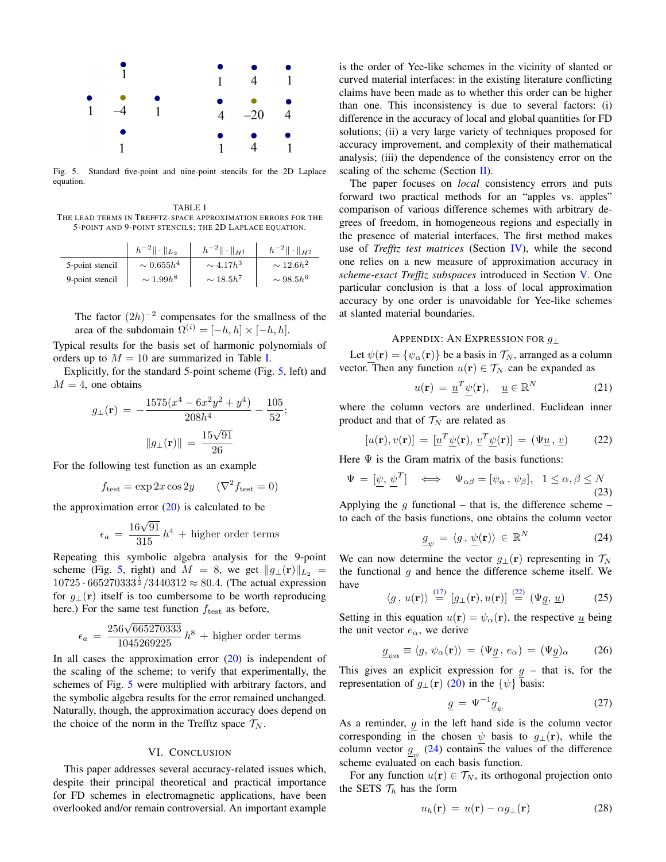

<span id="page-5-0"></span>Fig. 5. Standard five-point and nine-point stencils for the 2D Laplace equation.

<span id="page-5-1"></span>TABLE I THE LEAD TERMS IN TREFFTZ-SPACE APPROXIMATION ERRORS FOR THE 5-POINT AND 9-POINT STENCILS; THE 2D LAPLACE EQUATION.

|                 | $  h^{-2}   \cdot   _{L_2}$ | $ h^{-2}   \cdot   _{H^1}$ | $\ h^{-2}\  \cdot \ _{H^2}$ |
|-----------------|-----------------------------|----------------------------|-----------------------------|
| 5-point stencil | $\sim 0.655h^4$             | $\sim 4.17h^3$             | $\sim 12.6h^2$              |
| 9-point stencil | $\sim 1.99h^8$              | $\sim 18.5h^7$             | $\sim 98.5h^6$              |

The factor  $(2h)^{-2}$  compensates for the smallness of the area of the subdomain  $\Omega^{(i)} = [-h, h] \times [-h, h]$ .

Typical results for the basis set of harmonic polynomials of orders up to  $M = 10$  are summarized in Table [I.](#page-5-1)

Explicitly, for the standard 5-point scheme (Fig. [5,](#page-5-0) left) and  $M = 4$ , one obtains

$$
g_{\perp}(\mathbf{r}) = -\frac{1575(x^4 - 6x^2y^2 + y^4)}{208h^4} - \frac{105}{52};
$$

$$
||g_{\perp}(\mathbf{r})|| = \frac{15\sqrt{91}}{26}
$$

For the following test function as an example

$$
f_{\text{test}} = \exp 2x \cos 2y \qquad (\nabla^2 f_{\text{test}} = 0)
$$

the approximation error  $(20)$  is calculated to be

$$
\epsilon_a = \frac{16\sqrt{91}}{315}h^4 + \text{higher order terms}
$$

Repeating this symbolic algebra analysis for the 9-point scheme (Fig. [5,](#page-5-0) right) and  $M = 8$ , we get  $||g_{\perp}(\mathbf{r})||_{L_2}$  $10725 \cdot 665270333^{\frac{1}{2}} / 3440312 \approx 80.4$ . (The actual expression for  $g_{\perp}(\mathbf{r})$  itself is too cumbersome to be worth reproducing here.) For the same test function  $f_{\text{test}}$  as before,

$$
\epsilon_a = \frac{256\sqrt{665270333}}{1045269225}h^8 + \text{higher order terms}
$$

In all cases the approximation error  $(20)$  is independent of the scaling of the scheme; to verify that experimentally, the schemes of Fig. [5](#page-5-0) were multiplied with arbitrary factors, and the symbolic algebra results for the error remained unchanged. Naturally, though, the approximation accuracy does depend on the choice of the norm in the Trefftz space  $\mathcal{T}_N$ .

## VI. CONCLUSION

This paper addresses several accuracy-related issues which, despite their principal theoretical and practical importance for FD schemes in electromagnetic applications, have been overlooked and/or remain controversial. An important example

is the order of Yee-like schemes in the vicinity of slanted or curved material interfaces: in the existing literature conflicting claims have been made as to whether this order can be higher than one. This inconsistency is due to several factors: (i) difference in the accuracy of local and global quantities for FD solutions; (ii) a very large variety of techniques proposed for accuracy improvement, and complexity of their mathematical analysis; (iii) the dependence of the consistency error on the scaling of the scheme (Section  $\mathbf{II}$ ).

The paper focuses on *local* consistency errors and puts forward two practical methods for an "apples vs. apples" comparison of various difference schemes with arbitrary degrees of freedom, in homogeneous regions and especially in the presence of material interfaces. The first method makes use of *Trefftz test matrices* (Section [IV\)](#page-2-0), while the second one relies on a new measure of approximation accuracy in *scheme-exact Trefftz subspaces* introduced in Section [V.](#page-4-0) One particular conclusion is that a loss of local approximation accuracy by one order is unavoidable for Yee-like schemes at slanted material boundaries.

#### APPENDIX: AN EXPRESSION FOR g<sup>⊥</sup>

Let  $\psi(\mathbf{r}) = {\psi_{\alpha}(\mathbf{r})}$  be a basis in  $\mathcal{T}_N$ , arranged as a column vector. Then any function  $u(\mathbf{r}) \in \mathcal{T}_N$  can be expanded as

$$
u(\mathbf{r}) = \underline{u}^T \psi(\mathbf{r}), \quad \underline{u} \in \mathbb{R}^N \tag{21}
$$

where the column vectors are underlined. Euclidean inner product and that of  $\mathcal{T}_N$  are related as

<span id="page-5-2"></span>
$$
[u(\mathbf{r}), v(\mathbf{r})] = [\underline{u}^T \underline{\psi}(\mathbf{r}), \underline{v}^T \underline{\psi}(\mathbf{r})] = (\Psi \underline{u}, \underline{v}) \quad (22)
$$

Here  $\Psi$  is the Gram matrix of the basis functions:

$$
\Psi = [\underline{\psi}, \underline{\psi}^T] \iff \Psi_{\alpha\beta} = [\psi_{\alpha}, \psi_{\beta}], \quad 1 \le \alpha, \beta \le N \tag{23}
$$

Applying the q functional – that is, the difference scheme – to each of the basis functions, one obtains the column vector

<span id="page-5-3"></span>
$$
\underline{g}_{\psi} = \langle g, \underline{\psi}(\mathbf{r}) \rangle \in \mathbb{R}^{N} \tag{24}
$$

We can now determine the vector  $g_{\perp}(\mathbf{r})$  representing in  $\mathcal{T}_N$ the functional  $g$  and hence the difference scheme itself. We have

$$
\langle g, u(\mathbf{r}) \rangle \stackrel{(17)}{=} [g_{\perp}(\mathbf{r}), u(\mathbf{r})] \stackrel{(22)}{=} (\Psi \underline{g}, \underline{u}) \tag{25}
$$

Setting in this equation  $u(\mathbf{r}) = \psi_{\alpha}(\mathbf{r})$ , the respective  $\underline{u}$  being the unit vector  $e_{\alpha}$ , we derive

$$
\underline{g}_{\psi\alpha} \equiv \langle g, \psi_{\alpha}(\mathbf{r}) \rangle = (\Psi \underline{g}, e_{\alpha}) = (\Psi \underline{g})_{\alpha} \qquad (26)
$$

This gives an explicit expression for  $g$  – that is, for the representation of  $g_{\perp}(\mathbf{r})$  [\(20\)](#page-4-4) in the  $\{\psi\}$  basis:

$$
\underline{g} = \Psi^{-1} \underline{g}_{\psi} \tag{27}
$$

As a reminder,  $g$  in the left hand side is the column vector corresponding in the chosen  $\psi$  basis to  $g_{\perp}(\mathbf{r})$ , while the column vector  $\underline{g}_{\psi}$  [\(24\)](#page-5-3) contains the values of the difference scheme evaluated on each basis function.

For any function  $u(\mathbf{r}) \in \mathcal{T}_N$ , its orthogonal projection onto the SETS  $\mathcal{T}_h$  has the form

$$
u_h(\mathbf{r}) = u(\mathbf{r}) - \alpha g_{\perp}(\mathbf{r}) \tag{28}
$$